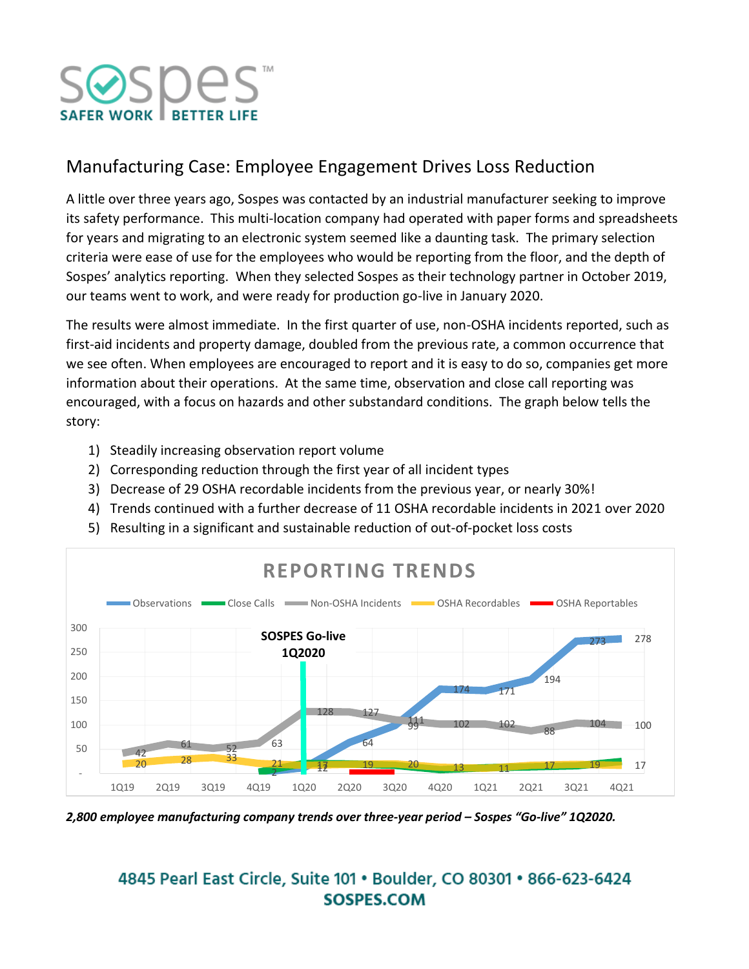

## Manufacturing Case: Employee Engagement Drives Loss Reduction

A little over three years ago, Sospes was contacted by an industrial manufacturer seeking to improve its safety performance. This multi-location company had operated with paper forms and spreadsheets for years and migrating to an electronic system seemed like a daunting task. The primary selection criteria were ease of use for the employees who would be reporting from the floor, and the depth of Sospes' analytics reporting. When they selected Sospes as their technology partner in October 2019, our teams went to work, and were ready for production go-live in January 2020.

The results were almost immediate. In the first quarter of use, non-OSHA incidents reported, such as first-aid incidents and property damage, doubled from the previous rate, a common occurrence that we see often. When employees are encouraged to report and it is easy to do so, companies get more information about their operations. At the same time, observation and close call reporting was encouraged, with a focus on hazards and other substandard conditions. The graph below tells the story:

- 1) Steadily increasing observation report volume
- 2) Corresponding reduction through the first year of all incident types
- 3) Decrease of 29 OSHA recordable incidents from the previous year, or nearly 30%!
- 4) Trends continued with a further decrease of 11 OSHA recordable incidents in 2021 over 2020
- 5) Resulting in a significant and sustainable reduction of out-of-pocket loss costs



*2,800 employee manufacturing company trends over three-year period – Sospes "Go-live" 1Q2020.* 

## 4845 Pearl East Circle, Suite 101 . Boulder, CO 80301 . 866-623-6424 SOSPES.COM